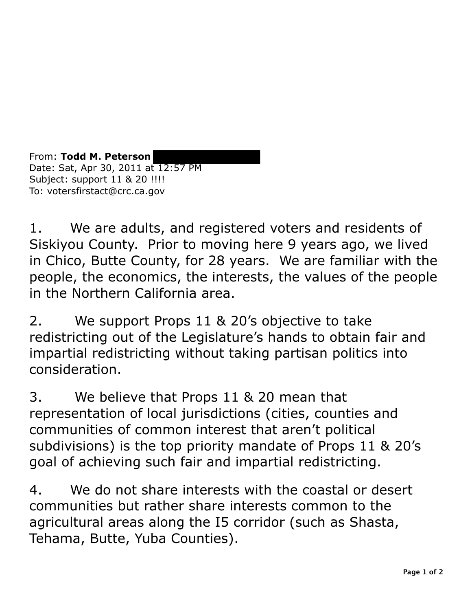From: **Todd M. Peterson**  Date: Sat, Apr 30, 2011 at 12:57 PM Subject: support 11 & 20 !!!! To: votersfirstact@crc.ca.gov

1. We are adults, and registered voters and residents of Siskiyou County. Prior to moving here 9 years ago, we lived in Chico, Butte County, for 28 years. We are familiar with the people, the economics, the interests, the values of the people in the Northern California area.

2. We support Props 11 & 20's objective to take redistricting out of the Legislature's hands to obtain fair and impartial redistricting without taking partisan politics into consideration.

3. We believe that Props 11 & 20 mean that representation of local jurisdictions (cities, counties and communities of common interest that aren't political subdivisions) is the top priority mandate of Props 11 & 20's goal of achieving such fair and impartial redistricting.

4. We do not share interests with the coastal or desert communities but rather share interests common to the agricultural areas along the I5 corridor (such as Shasta, Tehama, Butte, Yuba Counties).